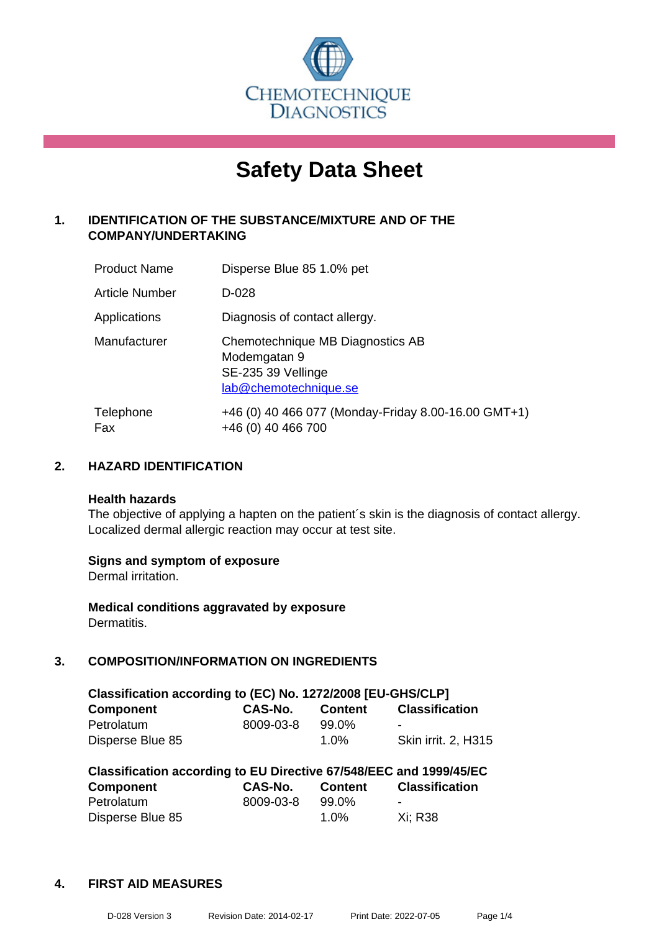

# **Safety Data Sheet**

# **1. IDENTIFICATION OF THE SUBSTANCE/MIXTURE AND OF THE COMPANY/UNDERTAKING**

| <b>Product Name</b> | Disperse Blue 85 1.0% pet                                                                       |
|---------------------|-------------------------------------------------------------------------------------------------|
| Article Number      | D-028                                                                                           |
| Applications        | Diagnosis of contact allergy.                                                                   |
| Manufacturer        | Chemotechnique MB Diagnostics AB<br>Modemgatan 9<br>SE-235 39 Vellinge<br>lab@chemotechnique.se |
| Telephone<br>Fax    | +46 (0) 40 466 077 (Monday-Friday 8.00-16.00 GMT+1)<br>+46 (0) 40 466 700                       |

# **2. HAZARD IDENTIFICATION**

#### **Health hazards**

The objective of applying a hapten on the patient's skin is the diagnosis of contact allergy. Localized dermal allergic reaction may occur at test site.

#### **Signs and symptom of exposure**

Dermal irritation.

**Medical conditions aggravated by exposure** Dermatitis.

# **3. COMPOSITION/INFORMATION ON INGREDIENTS**

| Classification according to (EC) No. 1272/2008 [EU-GHS/CLP] |           |                |                            |  |
|-------------------------------------------------------------|-----------|----------------|----------------------------|--|
| <b>Component</b>                                            | CAS-No.   | <b>Content</b> | <b>Classification</b>      |  |
| Petrolatum                                                  | 8009-03-8 | 99.0%          | $\overline{\phantom{0}}$   |  |
| Disperse Blue 85                                            |           | $1.0\%$        | <b>Skin irrit. 2, H315</b> |  |

| Classification according to EU Directive 67/548/EEC and 1999/45/EC |                |                |                       |  |
|--------------------------------------------------------------------|----------------|----------------|-----------------------|--|
| Component                                                          | <b>CAS-No.</b> | <b>Content</b> | <b>Classification</b> |  |
| Petrolatum                                                         | 8009-03-8      | 99.0%          | -                     |  |
| Disperse Blue 85                                                   |                | $1.0\%$        | Xi: R38               |  |

# **4. FIRST AID MEASURES**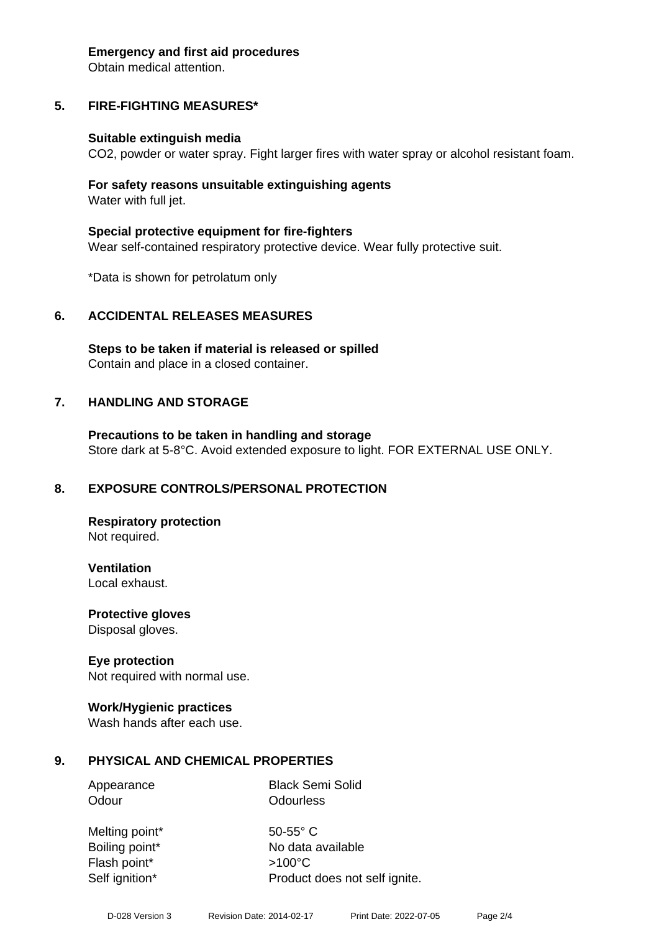#### **Emergency and first aid procedures**

Obtain medical attention.

# **5. FIRE-FIGHTING MEASURES\***

#### **Suitable extinguish media**

CO2, powder or water spray. Fight larger fires with water spray or alcohol resistant foam.

#### **For safety reasons unsuitable extinguishing agents** Water with full jet.

**Special protective equipment for fire-fighters** Wear self-contained respiratory protective device. Wear fully protective suit.

\*Data is shown for petrolatum only

#### **6. ACCIDENTAL RELEASES MEASURES**

**Steps to be taken if material is released or spilled** Contain and place in a closed container.

#### **7. HANDLING AND STORAGE**

**Precautions to be taken in handling and storage** Store dark at 5-8°C. Avoid extended exposure to light. FOR EXTERNAL USE ONLY.

#### **8. EXPOSURE CONTROLS/PERSONAL PROTECTION**

**Respiratory protection** Not required.

**Ventilation**

Local exhaust.

**Protective gloves** Disposal gloves.

#### **Eye protection**

Not required with normal use.

#### **Work/Hygienic practices**

Wash hands after each use.

#### **9. PHYSICAL AND CHEMICAL PROPERTIES**

Appearance Black Semi Solid Odour **Odourless** 

Melting point\* 50-55° C Flash point\* >100°C

Boiling point\* No data available Self ignition\* Product does not self ignite.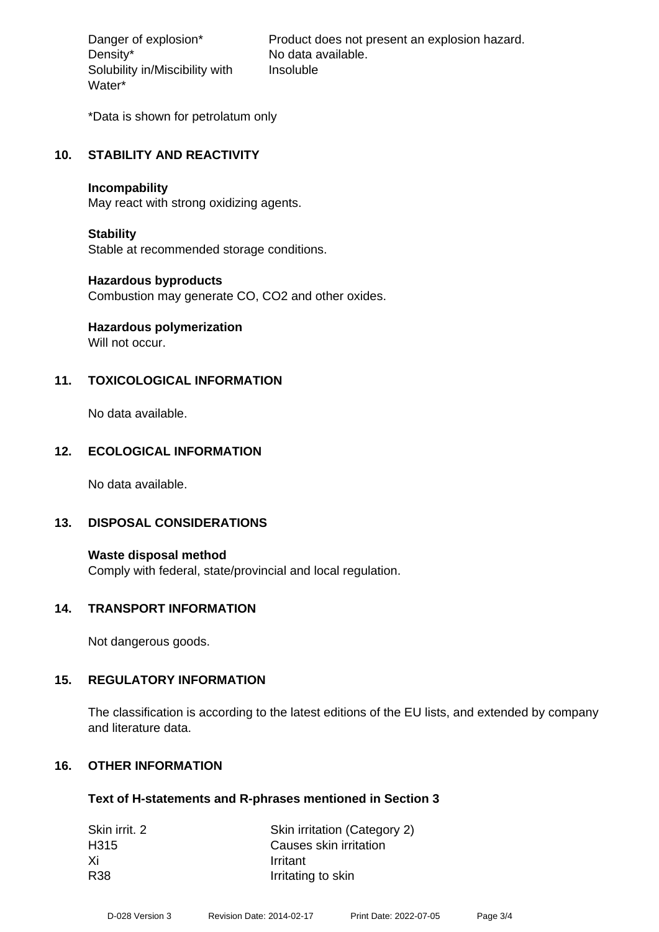Density\* No data available. Solubility in/Miscibility with Water\*

Danger of explosion\* Product does not present an explosion hazard. Insoluble

\*Data is shown for petrolatum only

### **10. STABILITY AND REACTIVITY**

#### **Incompability**

May react with strong oxidizing agents.

#### **Stability**

Stable at recommended storage conditions.

#### **Hazardous byproducts**

Combustion may generate CO, CO2 and other oxides.

# **Hazardous polymerization**

Will not occur.

# **11. TOXICOLOGICAL INFORMATION**

No data available.

# **12. ECOLOGICAL INFORMATION**

No data available.

#### **13. DISPOSAL CONSIDERATIONS**

**Waste disposal method** Comply with federal, state/provincial and local regulation.

#### **14. TRANSPORT INFORMATION**

Not dangerous goods.

#### **15. REGULATORY INFORMATION**

The classification is according to the latest editions of the EU lists, and extended by company and literature data.

#### **16. OTHER INFORMATION**

#### **Text of H-statements and R-phrases mentioned in Section 3**

| Skin irrit. 2    | Skin irritation (Category 2) |
|------------------|------------------------------|
| H <sub>315</sub> | Causes skin irritation       |
| -Xi              | Irritant                     |
| <b>R38</b>       | Irritating to skin           |